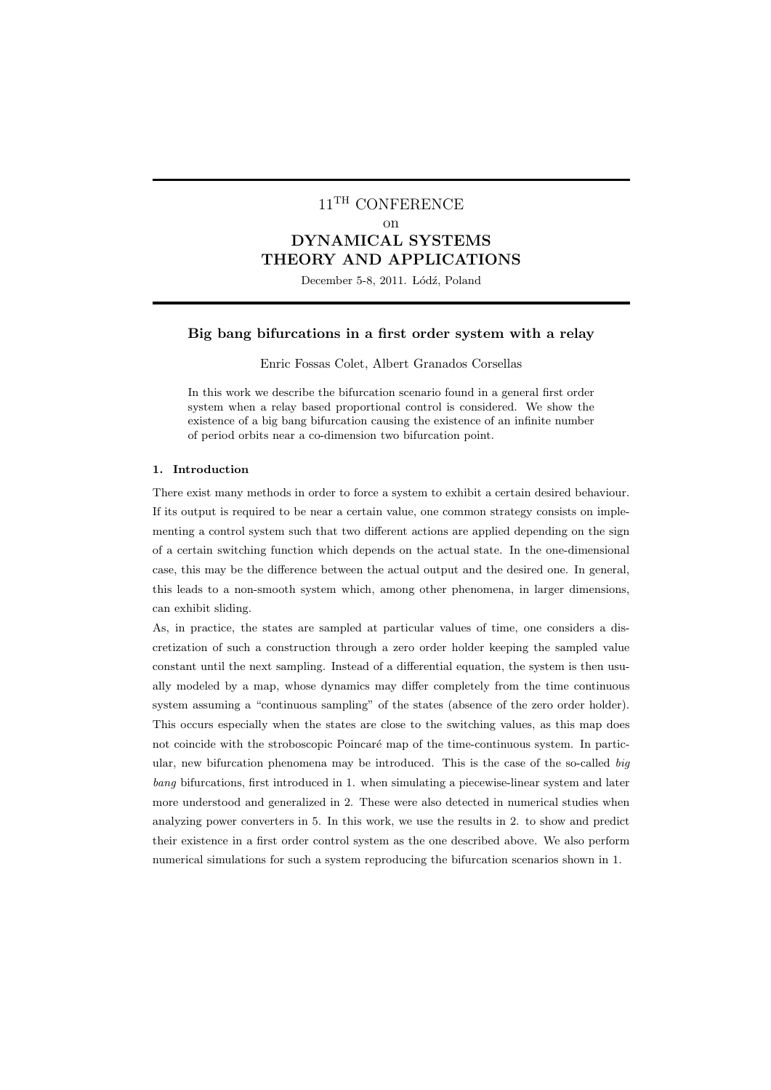# $11^{\text{TH}}$  CONFERENCE on DYNAMICAL SYSTEMS THEORY AND APPLICATIONS

December 5-8, 2011. Lódź, Poland

## Big bang bifurcations in a first order system with a relay

Enric Fossas Colet, Albert Granados Corsellas

In this work we describe the bifurcation scenario found in a general first order system when a relay based proportional control is considered. We show the existence of a big bang bifurcation causing the existence of an infinite number of period orbits near a co-dimension two bifurcation point.

#### 1. Introduction

There exist many methods in order to force a system to exhibit a certain desired behaviour. If its output is required to be near a certain value, one common strategy consists on implementing a control system such that two different actions are applied depending on the sign of a certain switching function which depends on the actual state. In the one-dimensional case, this may be the difference between the actual output and the desired one. In general, this leads to a non-smooth system which, among other phenomena, in larger dimensions, can exhibit sliding.

As, in practice, the states are sampled at particular values of time, one considers a discretization of such a construction through a zero order holder keeping the sampled value constant until the next sampling. Instead of a differential equation, the system is then usually modeled by a map, whose dynamics may differ completely from the time continuous system assuming a "continuous sampling" of the states (absence of the zero order holder). This occurs especially when the states are close to the switching values, as this map does not coincide with the stroboscopic Poincaré map of the time-continuous system. In particular, new bifurcation phenomena may be introduced. This is the case of the so-called  $big$ bang bifurcations, first introduced in 1. when simulating a piecewise-linear system and later more understood and generalized in 2. These were also detected in numerical studies when analyzing power converters in 5. In this work, we use the results in 2. to show and predict their existence in a first order control system as the one described above. We also perform numerical simulations for such a system reproducing the bifurcation scenarios shown in 1.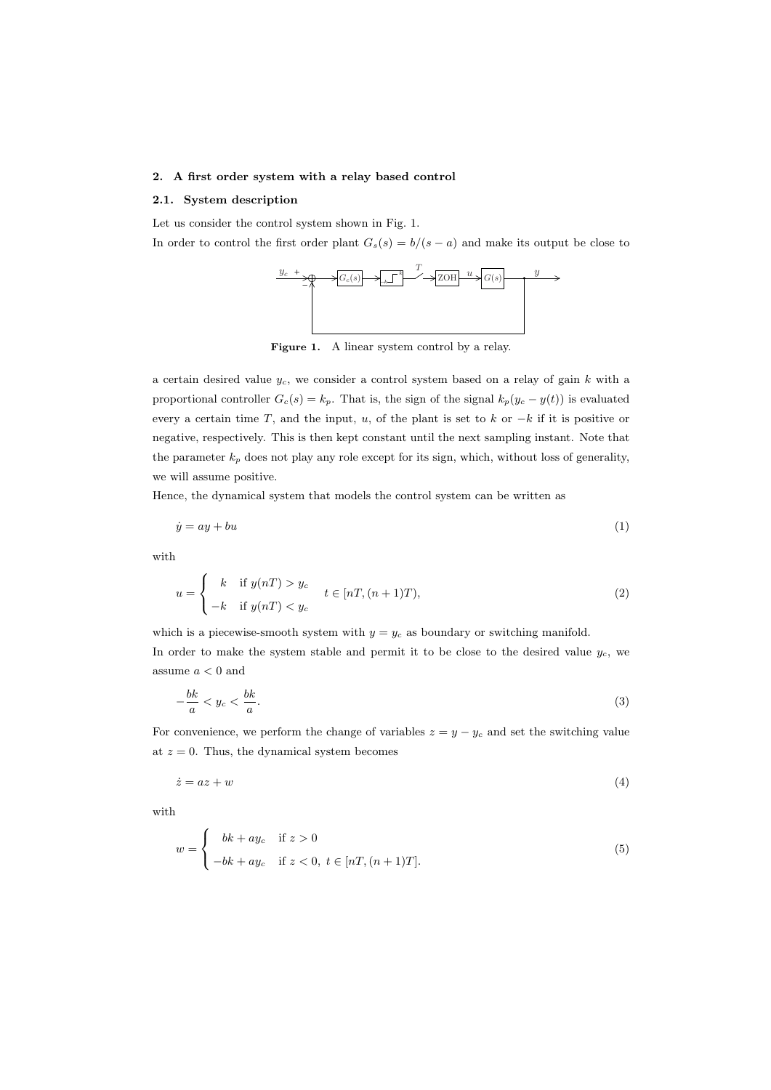## 2. A first order system with a relay based control

## 2.1. System description

Let us consider the control system shown in Fig. 1.

In order to control the first order plant  $G_s(s) = b/(s - a)$  and make its output be close to



Figure 1. A linear system control by a relay.

a certain desired value  $y_c$ , we consider a control system based on a relay of gain k with a proportional controller  $G_c(s) = k_p$ . That is, the sign of the signal  $k_p(y_c - y(t))$  is evaluated every a certain time T, and the input, u, of the plant is set to k or  $-k$  if it is positive or negative, respectively. This is then kept constant until the next sampling instant. Note that the parameter  $k_p$  does not play any role except for its sign, which, without loss of generality, we will assume positive.

Hence, the dynamical system that models the control system can be written as

$$
\dot{y} = ay + bu \tag{1}
$$

with

$$
u = \begin{cases} k & \text{if } y(n) > y_c \\ -k & \text{if } y(n) < y_c \end{cases} \qquad t \in [n],(n+1)T), \tag{2}
$$

which is a piecewise-smooth system with  $y = y_c$  as boundary or switching manifold.

In order to make the system stable and permit it to be close to the desired value  $y_c$ , we assume  $a<0$  and

$$
\frac{bk}{a} < y_c < \frac{bk}{a}.\tag{3}
$$

For convenience, we perform the change of variables  $z = y - y_c$  and set the switching value at  $z = 0$ . Thus, the dynamical system becomes

$$
\dot{z} = az + w \tag{4}
$$

with

−

$$
w = \begin{cases} bk + ay_c & \text{if } z > 0 \\ -bk + ay_c & \text{if } z < 0, t \in [nT, (n+1)T]. \end{cases}
$$
\n
$$
(5)
$$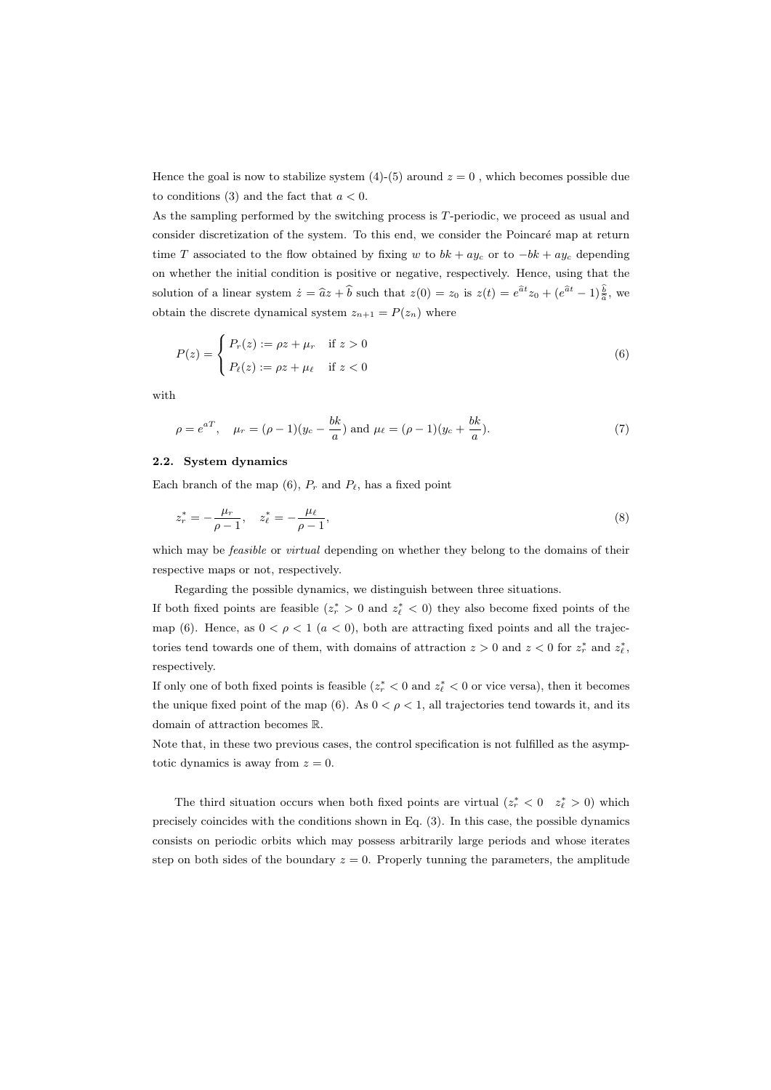Hence the goal is now to stabilize system  $(4)-(5)$  around  $z = 0$ , which becomes possible due to conditions (3) and the fact that  $a < 0$ .

As the sampling performed by the switching process is T-periodic, we proceed as usual and consider discretization of the system. To this end, we consider the Poincaré map at return time T associated to the flow obtained by fixing w to  $bk + ay_c$  or to  $-bk + ay_c$  depending on whether the initial condition is positive or negative, respectively. Hence, using that the solution of a linear system  $\dot{z} = \hat{a}z + \hat{b}$  such that  $z(0) = z_0$  is  $z(t) = e^{\hat{a}t}z_0 + (e^{\hat{a}t} - 1)\frac{b}{\hat{a}}$ , we obtain the discrete dynamical system  $z_{n+1} = P(z_n)$  where

$$
P(z) = \begin{cases} P_r(z) := \rho z + \mu_r & \text{if } z > 0 \\ P_\ell(z) := \rho z + \mu_\ell & \text{if } z < 0 \end{cases}
$$
 (6)

with

$$
\rho = e^{aT}
$$
,  $\mu_r = (\rho - 1)(y_c - \frac{bk}{a})$  and  $\mu_\ell = (\rho - 1)(y_c + \frac{bk}{a})$ . (7)

## 2.2. System dynamics

Each branch of the map  $(6)$ ,  $P_r$  and  $P_\ell$ , has a fixed point

$$
z_r^* = -\frac{\mu_r}{\rho - 1}, \quad z_\ell^* = -\frac{\mu_\ell}{\rho - 1},\tag{8}
$$

which may be *feasible* or *virtual* depending on whether they belong to the domains of their respective maps or not, respectively.

Regarding the possible dynamics, we distinguish between three situations.

If both fixed points are feasible  $(z_r^* > 0 \text{ and } z_\ell^* < 0)$  they also become fixed points of the map (6). Hence, as  $0 < \rho < 1$  ( $a < 0$ ), both are attracting fixed points and all the trajectories tend towards one of them, with domains of attraction  $z > 0$  and  $z < 0$  for  $z_r^*$  and  $z_\ell^*$ , respectively.

If only one of both fixed points is feasible  $(z_r^* < 0$  and  $z_\ell^* < 0$  or vice versa), then it becomes the unique fixed point of the map (6). As  $0 < \rho < 1$ , all trajectories tend towards it, and its domain of attraction becomes R.

Note that, in these two previous cases, the control specification is not fulfilled as the asymptotic dynamics is away from  $z = 0$ .

The third situation occurs when both fixed points are virtual  $(z_r^* < 0 \t z_l^* > 0)$  which precisely coincides with the conditions shown in Eq. (3). In this case, the possible dynamics consists on periodic orbits which may possess arbitrarily large periods and whose iterates step on both sides of the boundary  $z = 0$ . Properly tunning the parameters, the amplitude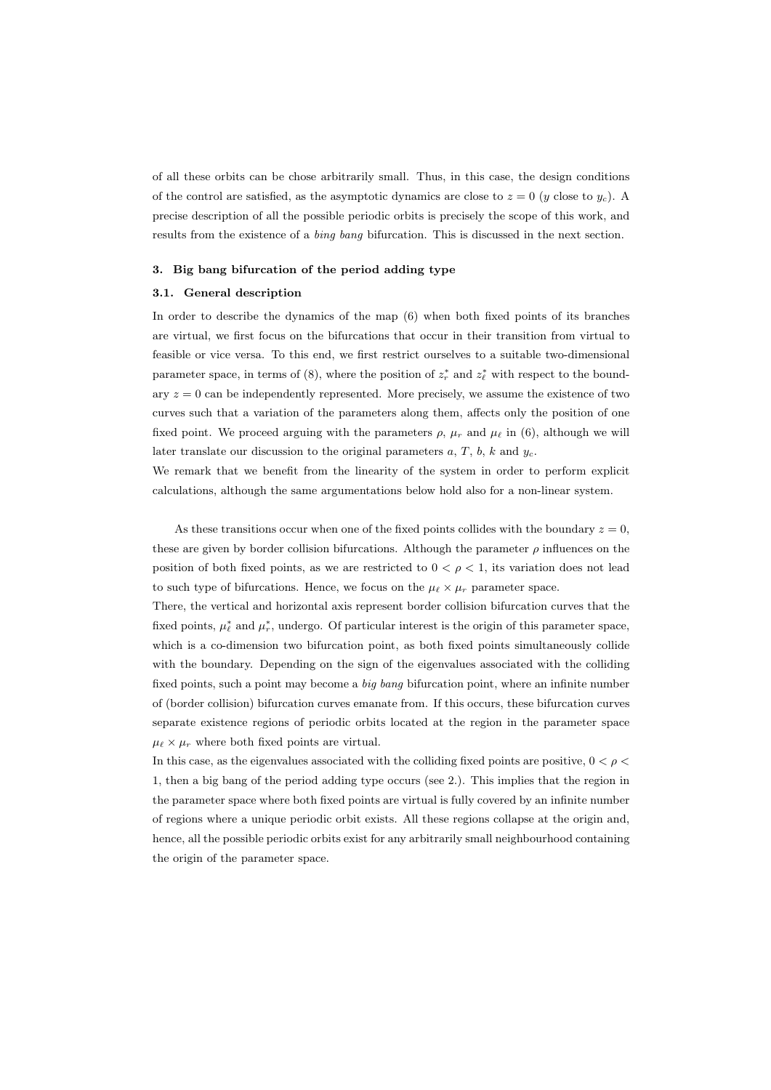of all these orbits can be chose arbitrarily small. Thus, in this case, the design conditions of the control are satisfied, as the asymptotic dynamics are close to  $z = 0$  (y close to  $y_c$ ). A precise description of all the possible periodic orbits is precisely the scope of this work, and results from the existence of a bing bang bifurcation. This is discussed in the next section.

#### 3. Big bang bifurcation of the period adding type

#### 3.1. General description

In order to describe the dynamics of the map (6) when both fixed points of its branches are virtual, we first focus on the bifurcations that occur in their transition from virtual to feasible or vice versa. To this end, we first restrict ourselves to a suitable two-dimensional parameter space, in terms of (8), where the position of  $z_r^*$  and  $z_\ell^*$  with respect to the boundary  $z = 0$  can be independently represented. More precisely, we assume the existence of two curves such that a variation of the parameters along them, affects only the position of one fixed point. We proceed arguing with the parameters  $\rho$ ,  $\mu_r$  and  $\mu_\ell$  in (6), although we will later translate our discussion to the original parameters  $a, T, b, k$  and  $y_c$ .

We remark that we benefit from the linearity of the system in order to perform explicit calculations, although the same argumentations below hold also for a non-linear system.

As these transitions occur when one of the fixed points collides with the boundary  $z = 0$ , these are given by border collision bifurcations. Although the parameter  $\rho$  influences on the position of both fixed points, as we are restricted to  $0 < \rho < 1$ , its variation does not lead to such type of bifurcations. Hence, we focus on the  $\mu_{\ell} \times \mu_r$  parameter space.

There, the vertical and horizontal axis represent border collision bifurcation curves that the fixed points,  $\mu_{\ell}^*$  and  $\mu_r^*$ , undergo. Of particular interest is the origin of this parameter space, which is a co-dimension two bifurcation point, as both fixed points simultaneously collide with the boundary. Depending on the sign of the eigenvalues associated with the colliding fixed points, such a point may become a big bang bifurcation point, where an infinite number of (border collision) bifurcation curves emanate from. If this occurs, these bifurcation curves separate existence regions of periodic orbits located at the region in the parameter space  $\mu_{\ell} \times \mu_r$  where both fixed points are virtual.

In this case, as the eigenvalues associated with the colliding fixed points are positive,  $0 < \rho <$ 1, then a big bang of the period adding type occurs (see 2.). This implies that the region in the parameter space where both fixed points are virtual is fully covered by an infinite number of regions where a unique periodic orbit exists. All these regions collapse at the origin and, hence, all the possible periodic orbits exist for any arbitrarily small neighbourhood containing the origin of the parameter space.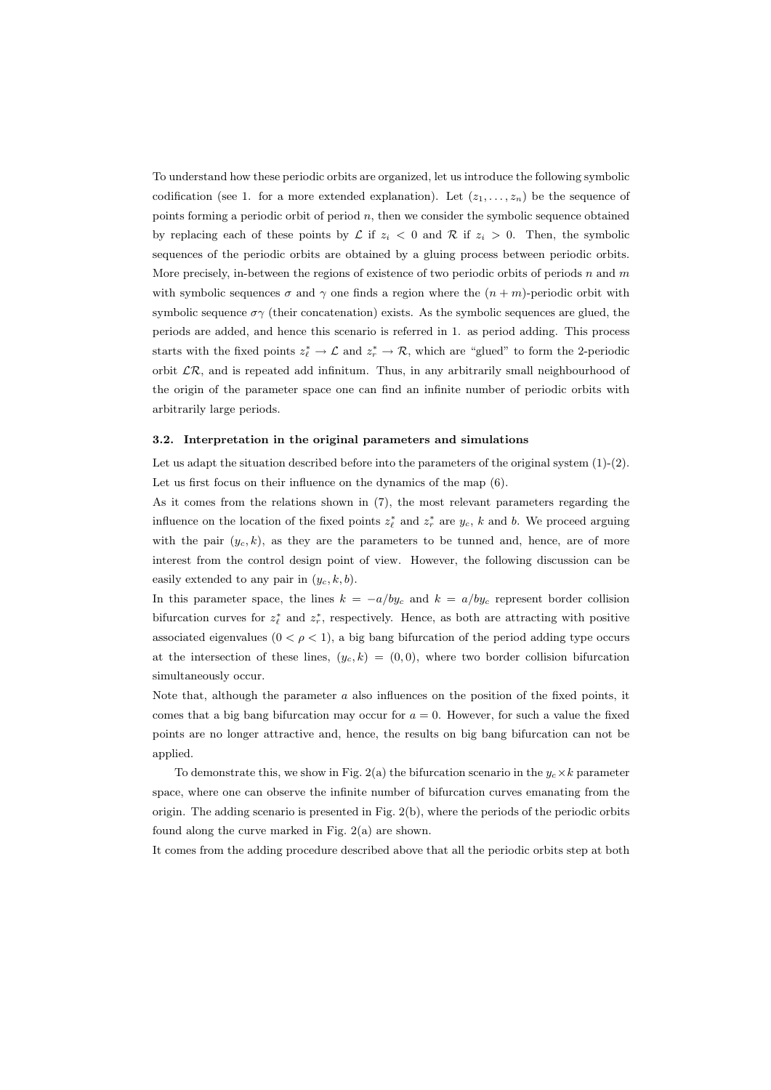To understand how these periodic orbits are organized, let us introduce the following symbolic codification (see 1. for a more extended explanation). Let  $(z_1, \ldots, z_n)$  be the sequence of points forming a periodic orbit of period  $n$ , then we consider the symbolic sequence obtained by replacing each of these points by  $\mathcal L$  if  $z_i < 0$  and  $\mathcal R$  if  $z_i > 0$ . Then, the symbolic sequences of the periodic orbits are obtained by a gluing process between periodic orbits. More precisely, in-between the regions of existence of two periodic orbits of periods  $n$  and  $m$ with symbolic sequences  $\sigma$  and  $\gamma$  one finds a region where the  $(n + m)$ -periodic orbit with symbolic sequence  $\sigma\gamma$  (their concatenation) exists. As the symbolic sequences are glued, the periods are added, and hence this scenario is referred in 1. as period adding. This process starts with the fixed points  $z_{\ell}^* \to \mathcal{L}$  and  $z_r^* \to \mathcal{R}$ , which are "glued" to form the 2-periodic orbit  $\mathcal{LR}$ , and is repeated add infinitum. Thus, in any arbitrarily small neighbourhood of the origin of the parameter space one can find an infinite number of periodic orbits with arbitrarily large periods.

#### 3.2. Interpretation in the original parameters and simulations

Let us adapt the situation described before into the parameters of the original system  $(1)-(2)$ . Let us first focus on their influence on the dynamics of the map (6).

As it comes from the relations shown in (7), the most relevant parameters regarding the influence on the location of the fixed points  $z_{\ell}^{*}$  and  $z_{r}^{*}$  are  $y_{c}$ , k and b. We proceed arguing with the pair  $(y_c, k)$ , as they are the parameters to be tunned and, hence, are of more interest from the control design point of view. However, the following discussion can be easily extended to any pair in  $(y_c, k, b)$ .

In this parameter space, the lines  $k = -a/by_c$  and  $k = a/by_c$  represent border collision bifurcation curves for  $z_{\ell}^{*}$  and  $z_{r}^{*}$ , respectively. Hence, as both are attracting with positive associated eigenvalues  $(0 < \rho < 1)$ , a big bang bifurcation of the period adding type occurs at the intersection of these lines,  $(y_c, k) = (0, 0)$ , where two border collision bifurcation simultaneously occur.

Note that, although the parameter a also influences on the position of the fixed points, it comes that a big bang bifurcation may occur for  $a = 0$ . However, for such a value the fixed points are no longer attractive and, hence, the results on big bang bifurcation can not be applied.

To demonstrate this, we show in Fig. 2(a) the bifurcation scenario in the  $y_c \times k$  parameter space, where one can observe the infinite number of bifurcation curves emanating from the origin. The adding scenario is presented in Fig. 2(b), where the periods of the periodic orbits found along the curve marked in Fig. 2(a) are shown.

It comes from the adding procedure described above that all the periodic orbits step at both